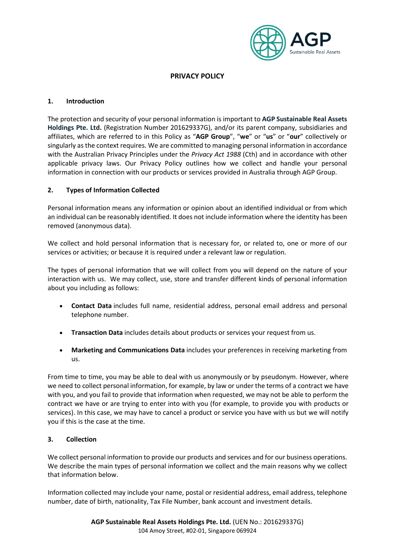

# **PRIVACY POLICY**

### **1. Introduction**

The protection and security of your personal information is important to **AGP Sustainable Real Assets Holdings Pte. Ltd.** (Registration Number 201629337G), and/or its parent company, subsidiaries and affiliates, which are referred to in this Policy as "**AGP Group**", "**we**" or "**us**" or "**our**" collectively or singularly as the context requires. We are committed to managing personal information in accordance with the Australian Privacy Principles under the *Privacy Act 1988* (Cth) and in accordance with other applicable privacy laws. Our Privacy Policy outlines how we collect and handle your personal information in connection with our products or services provided in Australia through AGP Group.

## **2. Types of Information Collected**

Personal information means any information or opinion about an identified individual or from which an individual can be reasonably identified. It does not include information where the identity has been removed (anonymous data).

We collect and hold personal information that is necessary for, or related to, one or more of our services or activities; or because it is required under a relevant law or regulation.

The types of personal information that we will collect from you will depend on the nature of your interaction with us. We may collect, use, store and transfer different kinds of personal information about you including as follows:

- **Contact Data** includes full name, residential address, personal email address and personal telephone number.
- **Transaction Data** includes details about products or services your request from us.
- **Marketing and Communications Data** includes your preferences in receiving marketing from us.

From time to time, you may be able to deal with us anonymously or by pseudonym. However, where we need to collect personal information, for example, by law or under the terms of a contract we have with you, and you fail to provide that information when requested, we may not be able to perform the contract we have or are trying to enter into with you (for example, to provide you with products or services). In this case, we may have to cancel a product or service you have with us but we will notify you if this is the case at the time.

### **3. Collection**

We collect personal information to provide our products and services and for our business operations. We describe the main types of personal information we collect and the main reasons why we collect that information below.

Information collected may include your name, postal or residential address, email address, telephone number, date of birth, nationality, Tax File Number, bank account and investment details.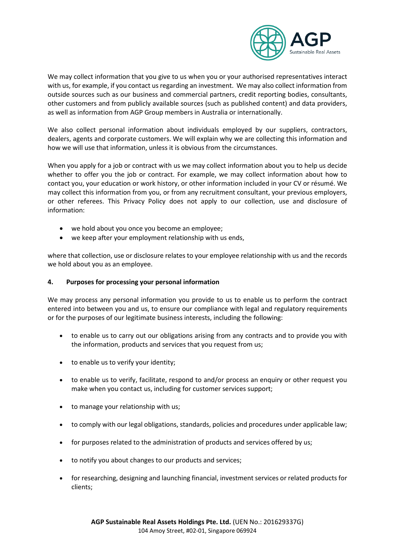

We may collect information that you give to us when you or your authorised representatives interact with us, for example, if you contact us regarding an investment. We may also collect information from outside sources such as our business and commercial partners, credit reporting bodies, consultants, other customers and from publicly available sources (such as published content) and data providers, as well as information from AGP Group members in Australia or internationally.

We also collect personal information about individuals employed by our suppliers, contractors, dealers, agents and corporate customers. We will explain why we are collecting this information and how we will use that information, unless it is obvious from the circumstances.

When you apply for a job or contract with us we may collect information about you to help us decide whether to offer you the job or contract. For example, we may collect information about how to contact you, your education or work history, or other information included in your CV or résumé. We may collect this information from you, or from any recruitment consultant, your previous employers, or other referees. This Privacy Policy does not apply to our collection, use and disclosure of information:

- we hold about you once you become an employee;
- we keep after your employment relationship with us ends,

where that collection, use or disclosure relates to your employee relationship with us and the records we hold about you as an employee.

### **4. Purposes for processing your personal information**

We may process any personal information you provide to us to enable us to perform the contract entered into between you and us, to ensure our compliance with legal and regulatory requirements or for the purposes of our legitimate business interests, including the following:

- to enable us to carry out our obligations arising from any contracts and to provide you with the information, products and services that you request from us;
- to enable us to verify your identity;
- to enable us to verify, facilitate, respond to and/or process an enquiry or other request you make when you contact us, including for customer services support;
- to manage your relationship with us;
- to comply with our legal obligations, standards, policies and procedures under applicable law;
- for purposes related to the administration of products and services offered by us;
- to notify you about changes to our products and services;
- for researching, designing and launching financial, investment services or related products for clients;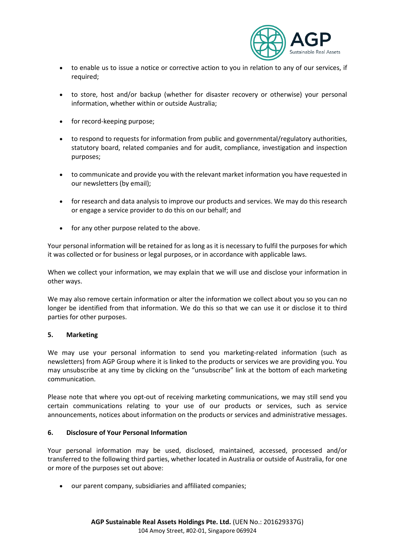

- to enable us to issue a notice or corrective action to you in relation to any of our services, if required;
- to store, host and/or backup (whether for disaster recovery or otherwise) your personal information, whether within or outside Australia;
- for record-keeping purpose;
- to respond to requests for information from public and governmental/regulatory authorities, statutory board, related companies and for audit, compliance, investigation and inspection purposes;
- to communicate and provide you with the relevant market information you have requested in our newsletters (by email);
- for research and data analysis to improve our products and services. We may do this research or engage a service provider to do this on our behalf; and
- for any other purpose related to the above.

Your personal information will be retained for as long as it is necessary to fulfil the purposes for which it was collected or for business or legal purposes, or in accordance with applicable laws.

When we collect your information, we may explain that we will use and disclose your information in other ways.

We may also remove certain information or alter the information we collect about you so you can no longer be identified from that information. We do this so that we can use it or disclose it to third parties for other purposes.

### **5. Marketing**

We may use your personal information to send you marketing-related information (such as newsletters) from AGP Group where it is linked to the products or services we are providing you. You may unsubscribe at any time by clicking on the "unsubscribe" link at the bottom of each marketing communication.

Please note that where you opt-out of receiving marketing communications, we may still send you certain communications relating to your use of our products or services, such as service announcements, notices about information on the products or services and administrative messages.

### **6. Disclosure of Your Personal Information**

Your personal information may be used, disclosed, maintained, accessed, processed and/or transferred to the following third parties, whether located in Australia or outside of Australia, for one or more of the purposes set out above:

• our parent company, subsidiaries and affiliated companies;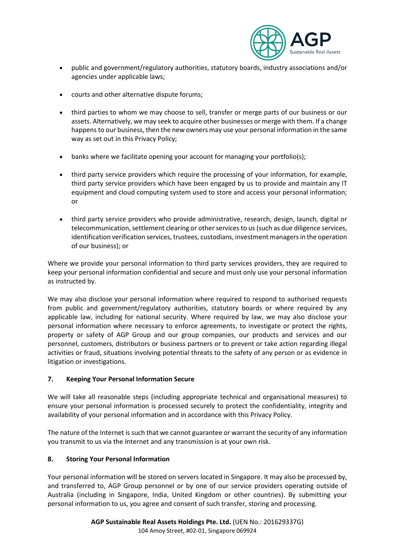

- public and government/regulatory authorities, statutory boards, industry associations and/or agencies under applicable laws;
- courts and other alternative dispute forums;
- third parties to whom we may choose to sell, transfer or merge parts of our business or our assets. Alternatively, we may seek to acquire other businesses or merge with them. If a change happens to our business, then the new owners may use your personal information in the same way as set out in this Privacy Policy;
- banks where we facilitate opening your account for managing your portfolio(s);
- third party service providers which require the processing of your information, for example, third party service providers which have been engaged by us to provide and maintain any IT equipment and cloud computing system used to store and access your personal information; or
- third party service providers who provide administrative, research, design, launch, digital or telecommunication, settlement clearing or other services to us (such as due diligence services, identification verification services, trustees, custodians, investment managers in the operation of our business); or

Where we provide your personal information to third party services providers, they are required to keep your personal information confidential and secure and must only use your personal information as instructed by.

We may also disclose your personal information where required to respond to authorised requests from public and government/regulatory authorities, statutory boards or where required by any applicable law, including for national security. Where required by law, we may also disclose your personal information where necessary to enforce agreements, to investigate or protect the rights, property or safety of AGP Group and our group companies, our products and services and our personnel, customers, distributors or business partners or to prevent or take action regarding illegal activities or fraud, situations involving potential threats to the safety of any person or as evidence in litigation or investigations.

## **7. Keeping Your Personal Information Secure**

We will take all reasonable steps (including appropriate technical and organisational measures) to ensure your personal information is processed securely to protect the confidentiality, integrity and availability of your personal information and in accordance with this Privacy Policy.

The nature of the Internet is such that we cannot guarantee or warrant the security of any information you transmit to us via the Internet and any transmission is at your own risk.

## **8. Storing Your Personal Information**

Your personal information will be stored on servers located in Singapore. It may also be processed by, and transferred to, AGP Group personnel or by one of our service providers operating outside of Australia (including in Singapore, India, United Kingdom or other countries). By submitting your personal information to us, you agree and consent of such transfer, storing and processing.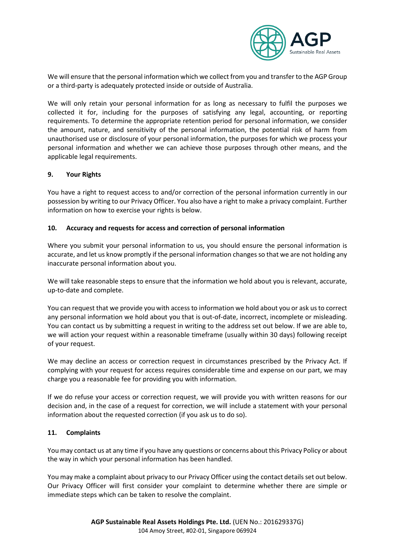

We will ensure that the personal information which we collect from you and transfer to the AGP Group or a third-party is adequately protected inside or outside of Australia.

We will only retain your personal information for as long as necessary to fulfil the purposes we collected it for, including for the purposes of satisfying any legal, accounting, or reporting requirements. To determine the appropriate retention period for personal information, we consider the amount, nature, and sensitivity of the personal information, the potential risk of harm from unauthorised use or disclosure of your personal information, the purposes for which we process your personal information and whether we can achieve those purposes through other means, and the applicable legal requirements.

### **9. Your Rights**

You have a right to request access to and/or correction of the personal information currently in our possession by writing to our Privacy Officer. You also have a right to make a privacy complaint. Further information on how to exercise your rights is below.

## **10. Accuracy and requests for access and correction of personal information**

Where you submit your personal information to us, you should ensure the personal information is accurate, and let us know promptly if the personal information changes so that we are not holding any inaccurate personal information about you.

We will take reasonable steps to ensure that the information we hold about you is relevant, accurate, up-to-date and complete.

You can request that we provide you with access to information we hold about you or ask us to correct any personal information we hold about you that is out-of-date, incorrect, incomplete or misleading. You can contact us by submitting a request in writing to the address set out below. If we are able to, we will action your request within a reasonable timeframe (usually within 30 days) following receipt of your request.

We may decline an access or correction request in circumstances prescribed by the Privacy Act. If complying with your request for access requires considerable time and expense on our part, we may charge you a reasonable fee for providing you with information.

If we do refuse your access or correction request, we will provide you with written reasons for our decision and, in the case of a request for correction, we will include a statement with your personal information about the requested correction (if you ask us to do so).

### **11. Complaints**

You may contact us at any time if you have any questions or concerns about this Privacy Policy or about the way in which your personal information has been handled.

You may make a complaint about privacy to our Privacy Officer using the contact details set out below. Our Privacy Officer will first consider your complaint to determine whether there are simple or immediate steps which can be taken to resolve the complaint.